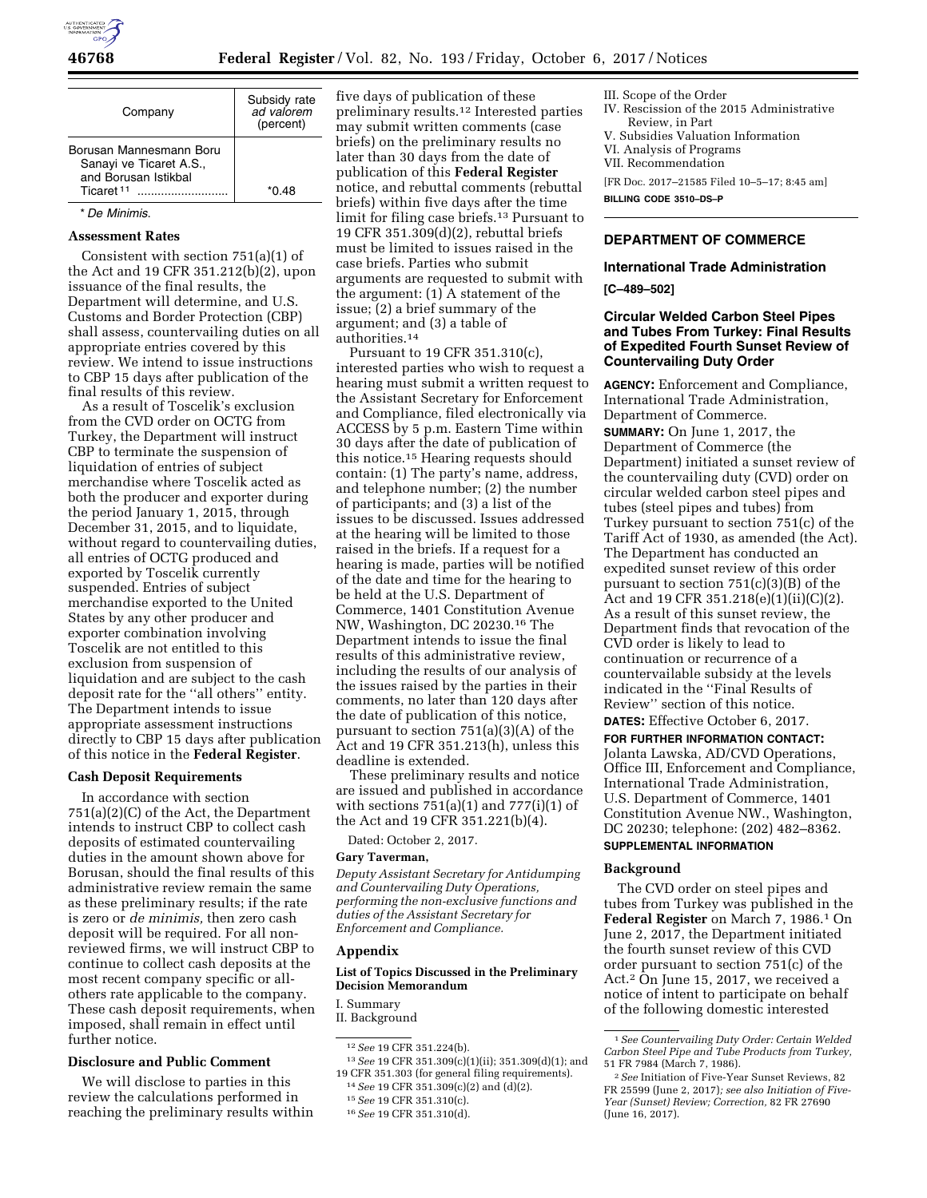

| Company                                                                                             | Subsidy rate<br>ad valorem<br>(percent) |
|-----------------------------------------------------------------------------------------------------|-----------------------------------------|
| Borusan Mannesmann Boru<br>Sanayi ve Ticaret A.S.,<br>and Borusan Istikbal<br>Ticaret <sup>11</sup> | *በ 48                                   |

#### \* *De Minimis*.

# **Assessment Rates**

Consistent with section 751(a)(1) of the Act and 19 CFR 351.212(b)(2), upon issuance of the final results, the Department will determine, and U.S. Customs and Border Protection (CBP) shall assess, countervailing duties on all appropriate entries covered by this review. We intend to issue instructions to CBP 15 days after publication of the final results of this review.

As a result of Toscelik's exclusion from the CVD order on OCTG from Turkey, the Department will instruct CBP to terminate the suspension of liquidation of entries of subject merchandise where Toscelik acted as both the producer and exporter during the period January 1, 2015, through December 31, 2015, and to liquidate, without regard to countervailing duties, all entries of OCTG produced and exported by Toscelik currently suspended. Entries of subject merchandise exported to the United States by any other producer and exporter combination involving Toscelik are not entitled to this exclusion from suspension of liquidation and are subject to the cash deposit rate for the ''all others'' entity. The Department intends to issue appropriate assessment instructions directly to CBP 15 days after publication of this notice in the **Federal Register**.

#### **Cash Deposit Requirements**

In accordance with section 751(a)(2)(C) of the Act, the Department intends to instruct CBP to collect cash deposits of estimated countervailing duties in the amount shown above for Borusan, should the final results of this administrative review remain the same as these preliminary results; if the rate is zero or *de minimis,* then zero cash deposit will be required. For all nonreviewed firms, we will instruct CBP to continue to collect cash deposits at the most recent company specific or allothers rate applicable to the company. These cash deposit requirements, when imposed, shall remain in effect until further notice.

# **Disclosure and Public Comment**

We will disclose to parties in this review the calculations performed in reaching the preliminary results within

five days of publication of these preliminary results.12 Interested parties may submit written comments (case briefs) on the preliminary results no later than 30 days from the date of publication of this **Federal Register**  notice, and rebuttal comments (rebuttal briefs) within five days after the time limit for filing case briefs.13 Pursuant to 19 CFR 351.309(d)(2), rebuttal briefs must be limited to issues raised in the case briefs. Parties who submit arguments are requested to submit with the argument: (1) A statement of the issue; (2) a brief summary of the argument; and (3) a table of authorities.14

Pursuant to 19 CFR 351.310(c), interested parties who wish to request a hearing must submit a written request to the Assistant Secretary for Enforcement and Compliance, filed electronically via ACCESS by 5 p.m. Eastern Time within 30 days after the date of publication of this notice.15 Hearing requests should contain: (1) The party's name, address, and telephone number; (2) the number of participants; and (3) a list of the issues to be discussed. Issues addressed at the hearing will be limited to those raised in the briefs. If a request for a hearing is made, parties will be notified of the date and time for the hearing to be held at the U.S. Department of Commerce, 1401 Constitution Avenue NW, Washington, DC 20230.16 The Department intends to issue the final results of this administrative review, including the results of our analysis of the issues raised by the parties in their comments, no later than 120 days after the date of publication of this notice, pursuant to section 751(a)(3)(A) of the Act and 19 CFR 351.213(h), unless this deadline is extended.

These preliminary results and notice are issued and published in accordance with sections  $751(a)(1)$  and  $777(i)(1)$  of the Act and 19 CFR 351.221(b)(4).

Dated: October 2, 2017.

#### **Gary Taverman,**

*Deputy Assistant Secretary for Antidumping and Countervailing Duty Operations, performing the non-exclusive functions and duties of the Assistant Secretary for Enforcement and Compliance.* 

#### **Appendix**

### **List of Topics Discussed in the Preliminary Decision Memorandum**

I. Summary

12*See* 19 CFR 351.224(b).

13*See* 19 CFR 351.309(c)(1)(ii); 351.309(d)(1); and 19 CFR 351.303 (for general filing requirements). 14*See* 19 CFR 351.309(c)(2) and (d)(2).

III. Scope of the Order IV. Rescission of the 2015 Administrative Review, in Part V. Subsidies Valuation Information VI. Analysis of Programs VII. Recommendation [FR Doc. 2017–21585 Filed 10–5–17; 8:45 am] **BILLING CODE 3510–DS–P** 

# **DEPARTMENT OF COMMERCE**

### **International Trade Administration**

**[C–489–502]** 

# **Circular Welded Carbon Steel Pipes and Tubes From Turkey: Final Results of Expedited Fourth Sunset Review of Countervailing Duty Order**

**AGENCY:** Enforcement and Compliance, International Trade Administration, Department of Commerce.

**SUMMARY:** On June 1, 2017, the Department of Commerce (the Department) initiated a sunset review of the countervailing duty (CVD) order on circular welded carbon steel pipes and tubes (steel pipes and tubes) from Turkey pursuant to section 751(c) of the Tariff Act of 1930, as amended (the Act). The Department has conducted an expedited sunset review of this order pursuant to section 751(c)(3)(B) of the Act and 19 CFR 351.218(e)(1)(ii)(C)(2). As a result of this sunset review, the Department finds that revocation of the CVD order is likely to lead to continuation or recurrence of a countervailable subsidy at the levels indicated in the ''Final Results of Review'' section of this notice.

**DATES:** Effective October 6, 2017. **FOR FURTHER INFORMATION CONTACT:**  Jolanta Lawska, AD/CVD Operations, Office III, Enforcement and Compliance, International Trade Administration, U.S. Department of Commerce, 1401 Constitution Avenue NW., Washington, DC 20230; telephone: (202) 482–8362. **SUPPLEMENTAL INFORMATION**

### **Background**

The CVD order on steel pipes and tubes from Turkey was published in the Federal Register on March 7, 1986.<sup>1</sup> On June 2, 2017, the Department initiated the fourth sunset review of this CVD order pursuant to section 751(c) of the Act.2 On June 15, 2017, we received a notice of intent to participate on behalf of the following domestic interested

II. Background

<sup>15</sup>*See* 19 CFR 351.310(c).

<sup>16</sup>*See* 19 CFR 351.310(d).

<sup>1</sup>*See Countervailing Duty Order: Certain Welded Carbon Steel Pipe and Tube Products from Turkey,*  51 FR 7984 (March 7, 1986).

<sup>2</sup>*See* Initiation of Five-Year Sunset Reviews, 82 FR 25599 (June 2, 2017)*; see also Initiation of Five-Year (Sunset) Review; Correction,* 82 FR 27690 (June 16, 2017).